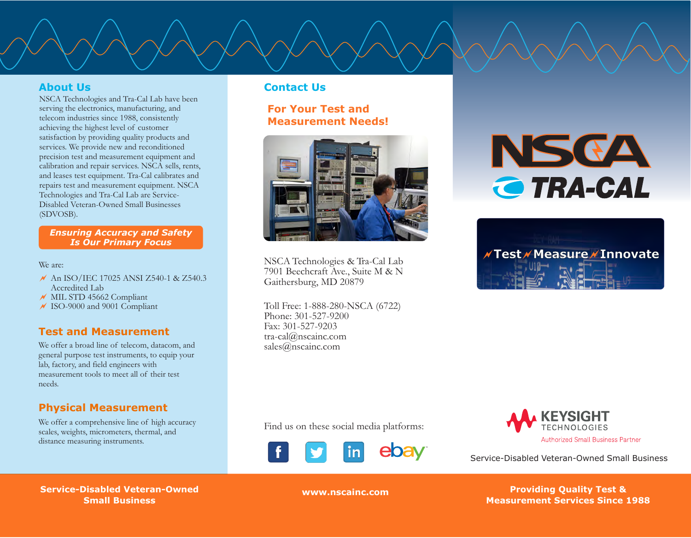### **About Us**

NSCA Technologies and Tra-Cal Lab have been serving the electronics, manufacturing, and telecom industries since 1988, consistently achieving the highest level of customer satisfaction by providing quality products and services. We provide new and reconditioned precision test and measurement equipment and calibration and repair services. NSCA sells, rents, and leases test equipment. Tra-Cal calibrates and repairs test and measurement equipment. NSCA Technologies and Tra-Cal Lab are Service-Disabled Veteran-Owned Small Businesses (SDVOSB).

### *Ensuring Accuracy and Safety Is Our Primary Focus*

We are:

- ~ An ISO/IEC 17025 ANSI Z540-1 & Z540.3 Accredited Lab
- ~ MIL STD 45662 Compliant
- ~ ISO-9000 and 9001 Compliant

### **Test and Measurement**

We offer a broad line of telecom, datacom, and general purpose test instruments, to equip your lab, factory, and field engineers with measurement tools to meet all of their test needs.

### **Physical Measurement**

We offer a comprehensive line of high accuracy scales, weights, micrometers, thermal, and distance measuring instruments.

### **Contact Us**

**For Your Test and Measurement Needs!**



NSCA Technologies & Tra-Cal Lab 7901 Beechcraft Ave., Suite M & N Gaithersburg, MD 20879

Toll Free: 1-888-280-NSCA (6722) Phone: 301-527-9200 Fax: 301-527-9203 tra-cal@nscainc.com sales@nscainc.com

NSCA **TRA-CAL** 





Service-Disabled Veteran-Owned Small Business

 **Service-Disabled Veteran-Service-Disabled Veteran-Owned Owned Small Business Small Business**

ebav

المسابق المسابق المسابق المسابق المسابق المسابق المسابق المسابق المسابق المسابق المسابق المسابق المسابق المساب<br>المسابق المسابق المسابق المسابق المسابق المسابق المسابق المسابق المسابق المسابق المسابق المسابق المسابق المسا **Since 1988 Measurement Services Since 1988 www.nscainc.com Providing Quality Test &**